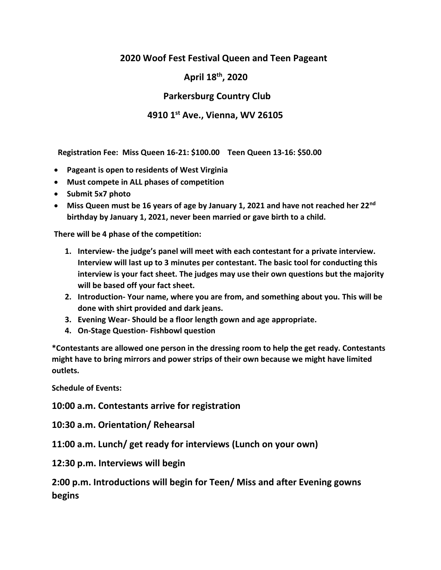## **2020 Woof Fest Festival Queen and Teen Pageant**

 **April 18th, 2020**

 **Parkersburg Country Club**

## **4910 1st Ave., Vienna, WV 26105**

 **Registration Fee: Miss Queen 16-21: \$100.00 Teen Queen 13-16: \$50.00**

- **Pageant is open to residents of West Virginia**
- **Must compete in ALL phases of competition**
- **Submit 5x7 photo**
- **Miss Queen must be 16 years of age by January 1, 2021 and have not reached her 22nd birthday by January 1, 2021, never been married or gave birth to a child.**

**There will be 4 phase of the competition:**

- **1. Interview- the judge's panel will meet with each contestant for a private interview. Interview will last up to 3 minutes per contestant. The basic tool for conducting this interview is your fact sheet. The judges may use their own questions but the majority will be based off your fact sheet.**
- **2. Introduction- Your name, where you are from, and something about you. This will be done with shirt provided and dark jeans.**
- **3. Evening Wear- Should be a floor length gown and age appropriate.**
- **4. On-Stage Question- Fishbowl question**

**\*Contestants are allowed one person in the dressing room to help the get ready. Contestants might have to bring mirrors and power strips of their own because we might have limited outlets.** 

**Schedule of Events:**

**10:00 a.m. Contestants arrive for registration**

**10:30 a.m. Orientation/ Rehearsal** 

**11:00 a.m. Lunch/ get ready for interviews (Lunch on your own)**

**12:30 p.m. Interviews will begin**

**2:00 p.m. Introductions will begin for Teen/ Miss and after Evening gowns begins**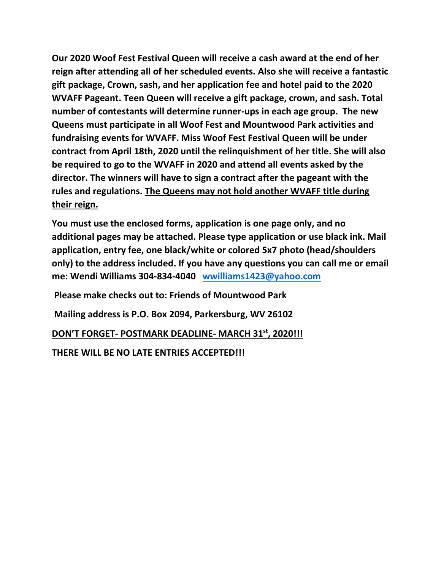**Our 2020 Woof Fest Festival Queen will receive a cash award at the end of her reign after attending all of her scheduled events. Also she will receive a fantastic gift package, Crown, sash, and her application fee and hotel paid to the 2020 WVAFF Pageant. Teen Queen will receive a gift package, crown, and sash. Total number of contestants will determine runner-ups in each age group. The new Queens must participate in all Woof Fest and Mountwood Park activities and fundraising events for WVAFF. Miss Woof Fest Festival Queen will be under contract from April 18th, 2020 until the relinquishment of her title. She will also be required to go to the WVAFF in 2020 and attend all events asked by the director. The winners will have to sign a contract after the pageant with the rules and regulations. The Queens may not hold another WVAFF title during their reign.**

**You must use the enclosed forms, application is one page only, and no additional pages may be attached. Please type application or use black ink. Mail application, entry fee, one black/white or colored 5x7 photo (head/shoulders only) to the address included. If you have any questions you can call me or email me: Wendi Williams 304-834-4040 [wwilliams1423@yahoo.com](mailto:wwilliams1423@yahoo.com)**

**Please make checks out to: Friends of Mountwood Park** 

**Mailing address is P.O. Box 2094, Parkersburg, WV 26102** 

**DON'T FORGET- POSTMARK DEADLINE- MARCH 31st, 2020!!!** 

**THERE WILL BE NO LATE ENTRIES ACCEPTED!!!**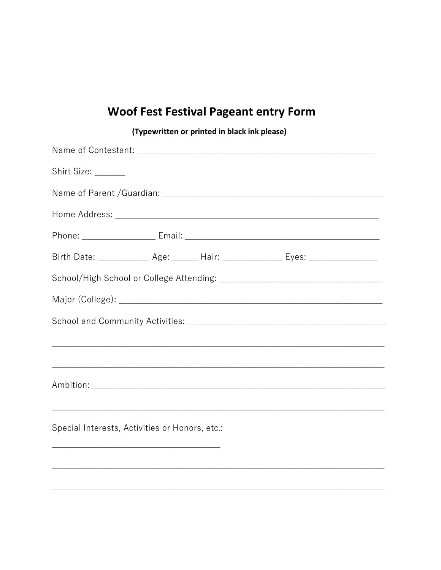## **Woof Fest Festival Pageant entry Form**

| Shirt Size: ______                                                                                                                                    |  |  |  |
|-------------------------------------------------------------------------------------------------------------------------------------------------------|--|--|--|
|                                                                                                                                                       |  |  |  |
|                                                                                                                                                       |  |  |  |
|                                                                                                                                                       |  |  |  |
| Birth Date: ______________ Age: _______ Hair: _________________ Eyes: _________________                                                               |  |  |  |
|                                                                                                                                                       |  |  |  |
|                                                                                                                                                       |  |  |  |
|                                                                                                                                                       |  |  |  |
|                                                                                                                                                       |  |  |  |
|                                                                                                                                                       |  |  |  |
|                                                                                                                                                       |  |  |  |
| ,我们也不能在这里的时候,我们也不能在这里的时候,我们也不能会不能会不能会不能会不能会不能会不能会不能会不能会不能会不能会不能会。<br>第2012章 我们的时候,我们的时候,我们的时候,我们的时候,我们的时候,我们的时候,我们的时候,我们的时候,我们的时候,我们的时候,我们的时候,我们的时候,我 |  |  |  |
| Special Interests, Activities or Honors, etc.:                                                                                                        |  |  |  |
| and the control of the control of the control of the control of the control of the control of the control of the                                      |  |  |  |
|                                                                                                                                                       |  |  |  |

(Typewritten or printed in black ink please)